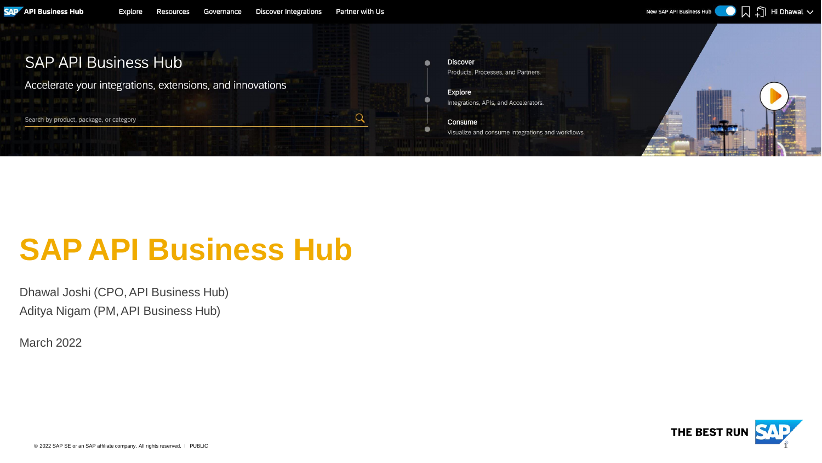#### **SAP API Business Hub Discover** Products, Processes, and Partners. Accelerate your integrations, extensions, and innovations Explore Integrations, APIs, and Accelerators.  $\alpha$ Search by product, package, or category Consume Visualize and consume integrations and workflows.

# **SAP API Business Hub**

Dhawal Joshi (CPO,API Business Hub) Aditya Nigam (PM,API Business Hub)

Explore

March 2022

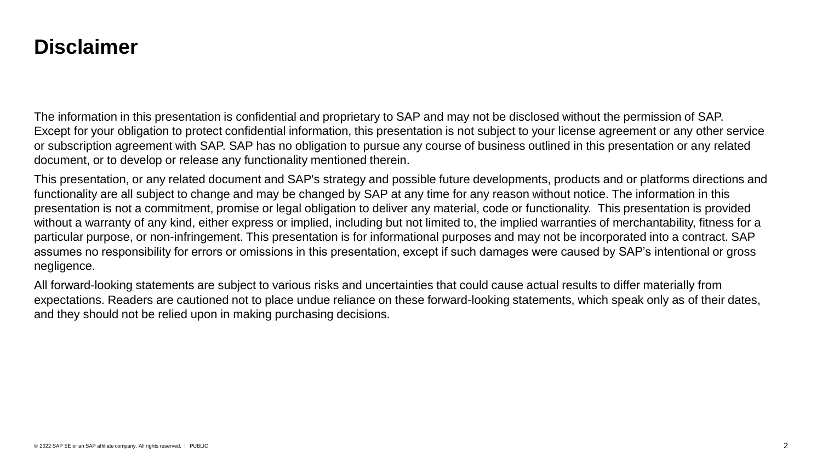### **Disclaimer**

The information in this presentation is confidential and proprietary to SAP and may not be disclosed without the permission of SAP. Except for your obligation to protect confidential information, this presentation is not subject to your license agreement or any other service or subscription agreement with SAP. SAP has no obligation to pursue any course of business outlined in this presentation or any related document, or to develop or release any functionality mentioned therein.

This presentation, or any related document and SAP's strategy and possible future developments, products and or platforms directions and functionality are all subject to change and may be changed by SAP at any time for any reason without notice. The information in this presentation is not a commitment, promise or legal obligation to deliver any material, code or functionality. This presentation is provided without a warranty of any kind, either express or implied, including but not limited to, the implied warranties of merchantability, fitness for a particular purpose, or non-infringement. This presentation is for informational purposes and may not be incorporated into a contract. SAP assumes no responsibility for errors or omissions in this presentation, except if such damages were caused by SAP's intentional or gross negligence.

All forward-looking statements are subject to various risks and uncertainties that could cause actual results to differ materially from expectations. Readers are cautioned not to place undue reliance on these forward-looking statements, which speak only as of their dates, and they should not be relied upon in making purchasing decisions.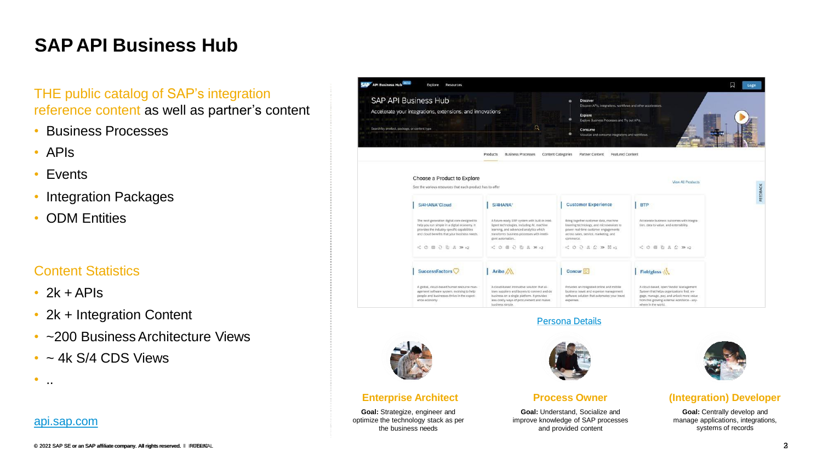## **SAP API Business Hub**

### THE public catalog of SAP's integration reference content as well as partner's content

- Business Processes
- APIs
- Events
- Integration Packages
- ODM Entities

### Content Statistics

- $\cdot$  2k + APIs
- 2k + Integration Content
- ~200 Business Architecture Views
- $\cdot$  ~ 4k S/4 CDS Views



 $\bullet$  . . .

| <b>API Business Hub</b><br>Explore<br><b>Resources</b>                                                                                                                                                                    |                                                                                                                                                                                                                                                      |                                                                                                                                                                                                                                       |                                                                                                                                                                                                                    | 口<br>Login |
|---------------------------------------------------------------------------------------------------------------------------------------------------------------------------------------------------------------------------|------------------------------------------------------------------------------------------------------------------------------------------------------------------------------------------------------------------------------------------------------|---------------------------------------------------------------------------------------------------------------------------------------------------------------------------------------------------------------------------------------|--------------------------------------------------------------------------------------------------------------------------------------------------------------------------------------------------------------------|------------|
| <b>SAP API Business Hub</b><br>Accelerate your integrations, extensions, and innovations<br>Search by product, package, or content type<br><b>The Company County of the Company</b><br><b>THE REAL</b>                    | Q                                                                                                                                                                                                                                                    | <b>Discover</b><br>Discover APIs, integrations, workflows and other accelerators.<br>Explore<br>Explore Business Processes and Try out APIs.<br>Consume<br>Visualize and consume integrations and workflows.                          | œ                                                                                                                                                                                                                  |            |
|                                                                                                                                                                                                                           | <b>Business Processes</b><br>Products                                                                                                                                                                                                                | Content Categories<br>Partner Content<br><b>Featured Content</b>                                                                                                                                                                      |                                                                                                                                                                                                                    |            |
| Choose a Product to Explore<br>See the various resources that each product has to offer                                                                                                                                   |                                                                                                                                                                                                                                                      |                                                                                                                                                                                                                                       | <b>View All Products</b>                                                                                                                                                                                           |            |
| S/4HANA <sup>®</sup> Cloud<br>The next generation digital core designed to<br>help you run simple in a digital economy. It<br>provides the industry-specific capabilities<br>and cloud benefits that your business needs. | S/4HANA <sup>®</sup><br>A future-ready ERP system with built-in intel-<br>ligent technologies, including AI, machine<br>learning, and advanced analytics which<br>transforms business processes with intelli-<br>gent automation<br>< 0 = 2 0 2 m +2 | <b>Customer Experience</b><br>Bring together customer data, machine<br>learning technology, and microservices to<br>power real-time customer engagements.<br>across sales, service, marketing, and<br>commerce.<br>< 0 0 2 2 0 m H +1 | <b>BTP</b><br>Accelerate business outcomes with integra-<br>tion, data to value, and extensibility.<br>$\leq$ 0 $\equiv$ 0 $\leq$ 0 $\gg$ 0 $+2$                                                                   |            |
| SuccessFactors<br>A global, cloud-based human resource man-<br>agement software system, evolving to help<br>people and businesses thrive in the experi-<br>ence economy.                                                  | Ariba A<br>A cloud-based innovative solution that al-<br>lows suppliers and buyers to connect and do<br>business on a single platform. It provides<br>less costly ways of procurement and makes<br>business simple.                                  | Concur <sup>C</sup><br>Provides an integrated online and mobile.<br>business travel and expense management<br>software solution that automates your travel<br>expenses.                                                               | Fieldglass<br>A cloud-based, open Vendor Management<br>System that helps organizations find, en-<br>gage, manage, pay, and unlock more value<br>from this growing external workforce - any-<br>where in the world. |            |

#### Persona Details



#### **Enterprise Architect**

**Goal:** Strategize, engineer and optimize the technology stack as per the business needs



#### **Process Owner**

**Goal:** Understand, Socialize and improve knowledge of SAP processes and provided content



#### **(Integration) Developer**

**Goal:** Centrally develop and manage applications, integrations, systems of records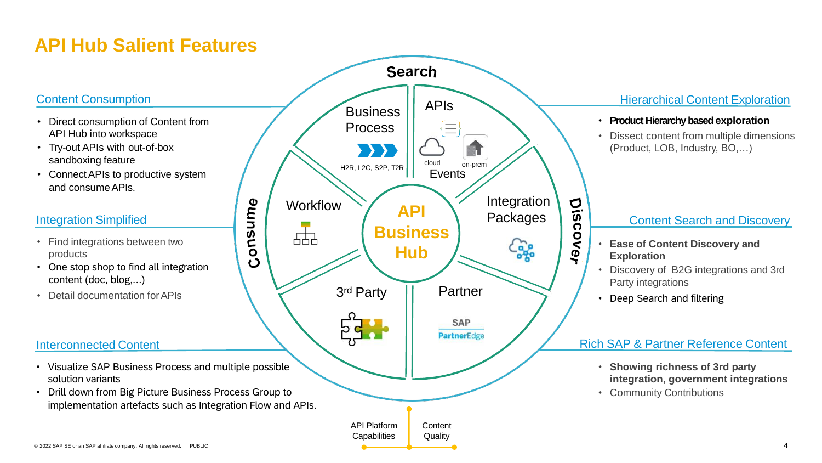## **API Hub Salient Features**

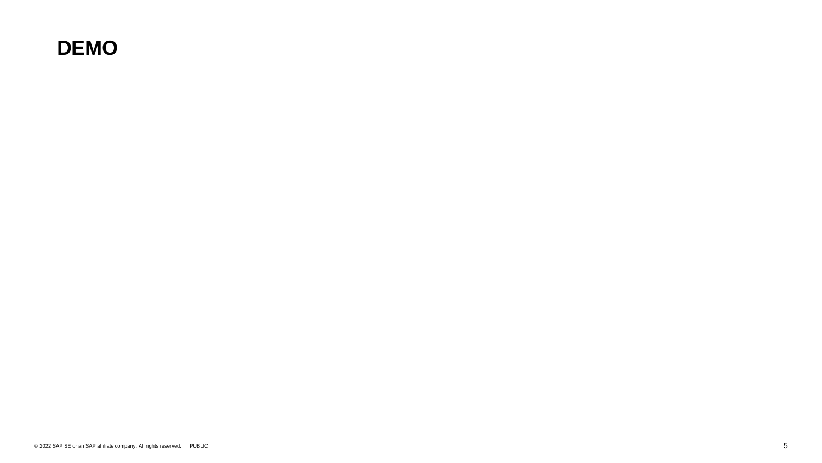## **DEMO**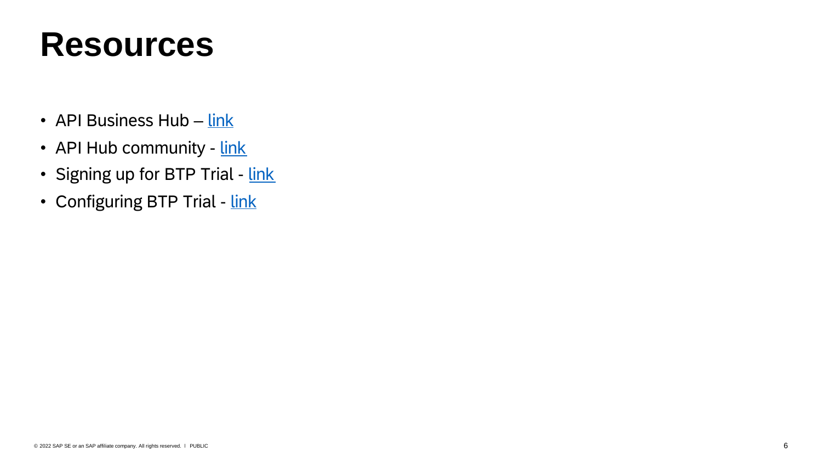# **Resources**

- API Business Hub  $-$  link
- API Hub community link
- Signing up for BTP Trial link
- Configuring BTP Trial link